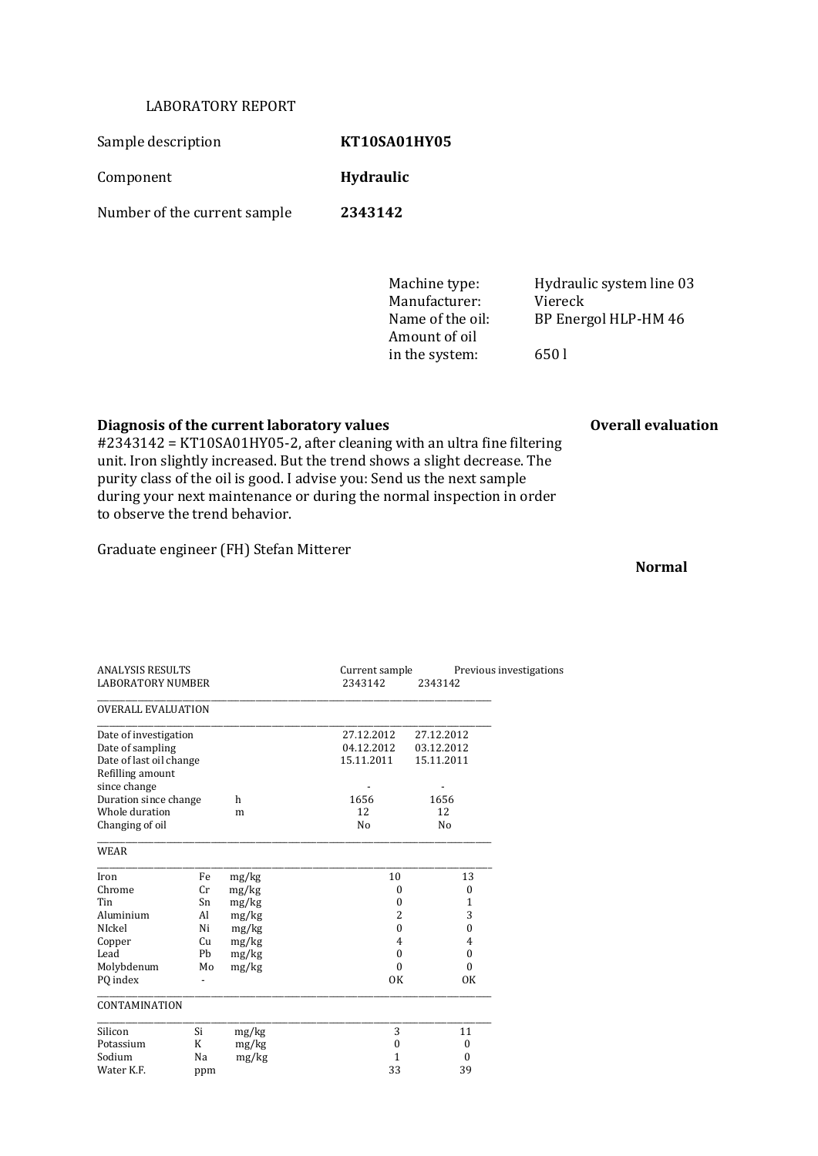## LABORATORY REPORT

Sample description **KT10SA01HY05** 

Component **Hydraulic**

Number of the current sample **2343142**

Manufacturer: Viereck Amount of oil in the system: 650 l

Machine type: Hydraulic system line 03 Name of the oil: BP Energol HLP-HM 46

## **Diagnosis of the current laboratory values Overall evaluation**

#2343142 = KT10SA01HY05-2, after cleaning with an ultra fine filtering unit. Iron slightly increased. But the trend shows a slight decrease. The purity class of the oil is good. I advise you: Send us the next sample during your next maintenance or during the normal inspection in order to observe the trend behavior.

Graduate engineer (FH) Stefan Mitterer

**Normal**

| <b>ANALYSIS RESULTS</b><br><b>LABORATORY NUMBER</b>                                      |     |       | Current sample<br>2343142              | 2343142                                | Previous investigations |
|------------------------------------------------------------------------------------------|-----|-------|----------------------------------------|----------------------------------------|-------------------------|
| <b>OVERALL EVALUATION</b>                                                                |     |       |                                        |                                        |                         |
| Date of investigation<br>Date of sampling<br>Date of last oil change<br>Refilling amount |     |       | 27.12.2012<br>04.12.2012<br>15.11.2011 | 27.12.2012<br>03.12.2012<br>15.11.2011 |                         |
| since change<br>Duration since change                                                    |     | h     | 1656                                   | 1656                                   |                         |
| Whole duration<br>m                                                                      |     |       | 12                                     | 12                                     |                         |
| Changing of oil                                                                          |     |       | N <sub>0</sub>                         | N <sub>o</sub>                         |                         |
| WEAR                                                                                     |     |       |                                        |                                        |                         |
| Iron                                                                                     | Fe  | mg/kg | 10                                     |                                        | 13                      |
| Chrome                                                                                   | Cr  | mg/kg | $\boldsymbol{0}$                       |                                        | $\mathbf{0}$            |
| Tin                                                                                      | Sn  | mg/kg | $\mathbf{0}$                           |                                        | 1                       |
| Aluminium                                                                                | Al  | mg/kg | $\overline{2}$                         |                                        | 3                       |
| NIckel                                                                                   | Ni  | mg/kg | $\theta$                               |                                        | $\theta$                |
| Copper                                                                                   | Cu  | mg/kg | 4                                      |                                        | $\overline{4}$          |
| Lead                                                                                     | Pb  | mg/kg | $\boldsymbol{0}$                       |                                        | $\boldsymbol{0}$        |
| Molybdenum                                                                               | Mo  | mg/kg | $\theta$                               |                                        | $\theta$                |
| PO index                                                                                 |     |       | <b>OK</b>                              |                                        | <b>OK</b>               |
| CONTAMINATION                                                                            |     |       |                                        |                                        |                         |
| Silicon<br>Si                                                                            |     | mg/kg | 3                                      |                                        | 11                      |
| K<br>Potassium                                                                           |     | mg/kg | $\boldsymbol{0}$                       |                                        | $\mathbf{0}$            |
| Sodium<br>Na                                                                             |     | mg/kg | 1                                      |                                        | $\boldsymbol{0}$        |
| Water K.F.                                                                               | ppm |       | 33                                     |                                        | 39                      |